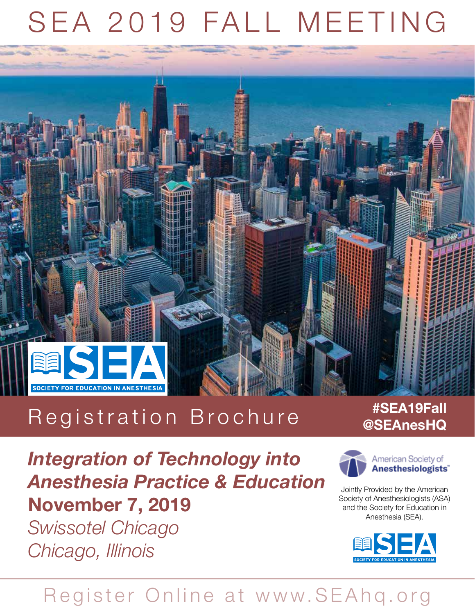# SEA 2019 FALL MEETING



# Registration Brochure **#SEA19Fall**

*Integration of Technology into Anesthesia Practice & Education* **November 7, 2019** *Swissotel Chicago Chicago, Illinois*

# **@SEAnesHQ**



Jointly Provided by the American Society of Anesthesiologists (ASA) and the Society for Education in Anesthesia (SEA).



# Register Online at www.SEAhq.org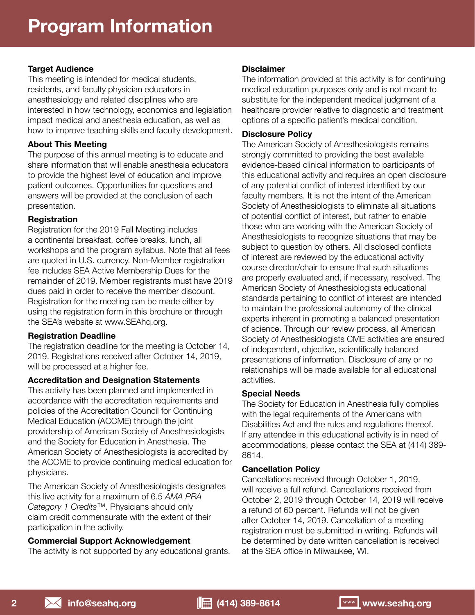# **Target Audience**

This meeting is intended for medical students, residents, and faculty physician educators in anesthesiology and related disciplines who are interested in how technology, economics and legislation impact medical and anesthesia education, as well as how to improve teaching skills and faculty development.

# **About This Meeting**

The purpose of this annual meeting is to educate and share information that will enable anesthesia educators to provide the highest level of education and improve patient outcomes. Opportunities for questions and answers will be provided at the conclusion of each presentation.

# **Registration**

Registration for the 2019 Fall Meeting includes a continental breakfast, coffee breaks, lunch, all workshops and the program syllabus. Note that all fees are quoted in U.S. currency. Non-Member registration fee includes SEA Active Membership Dues for the remainder of 2019. Member registrants must have 2019 dues paid in order to receive the member discount. Registration for the meeting can be made either by using the registration form in this brochure or through the SEA's website at www.SEAhq.org.

# **Registration Deadline**

The registration deadline for the meeting is October 14, 2019. Registrations received after October 14, 2019, will be processed at a higher fee.

# **Accreditation and Designation Statements**

This activity has been planned and implemented in accordance with the accreditation requirements and policies of the Accreditation Council for Continuing Medical Education (ACCME) through the joint providership of American Society of Anesthesiologists and the Society for Education in Anesthesia. The American Society of Anesthesiologists is accredited by the ACCME to provide continuing medical education for physicians.

The American Society of Anesthesiologists designates this live activity for a maximum of 6.5 *AMA PRA Category 1 Credits*™. Physicians should only claim credit commensurate with the extent of their participation in the activity.

# **Commercial Support Acknowledgement**

The activity is not supported by any educational grants.

# **Disclaimer**

The information provided at this activity is for continuing medical education purposes only and is not meant to substitute for the independent medical judgment of a healthcare provider relative to diagnostic and treatment options of a specific patient's medical condition.

# **Disclosure Policy**

The American Society of Anesthesiologists remains strongly committed to providing the best available evidence-based clinical information to participants of this educational activity and requires an open disclosure of any potential conflict of interest identified by our faculty members. It is not the intent of the American Society of Anesthesiologists to eliminate all situations of potential conflict of interest, but rather to enable those who are working with the American Society of Anesthesiologists to recognize situations that may be subject to question by others. All disclosed conflicts of interest are reviewed by the educational activity course director/chair to ensure that such situations are properly evaluated and, if necessary, resolved. The American Society of Anesthesiologists educational standards pertaining to conflict of interest are intended to maintain the professional autonomy of the clinical experts inherent in promoting a balanced presentation of science. Through our review process, all American Society of Anesthesiologists CME activities are ensured of independent, objective, scientifically balanced presentations of information. Disclosure of any or no relationships will be made available for all educational activities.

# **Special Needs**

The Society for Education in Anesthesia fully complies with the legal requirements of the Americans with Disabilities Act and the rules and regulations thereof. If any attendee in this educational activity is in need of accommodations, please contact the SEA at (414) 389- 8614.

# **Cancellation Policy**

Cancellations received through October 1, 2019, will receive a full refund. Cancellations received from October 2, 2019 through October 14, 2019 will receive a refund of 60 percent. Refunds will not be given after October 14, 2019. Cancellation of a meeting registration must be submitted in writing. Refunds will be determined by date written cancellation is received at the SEA office in Milwaukee, WI.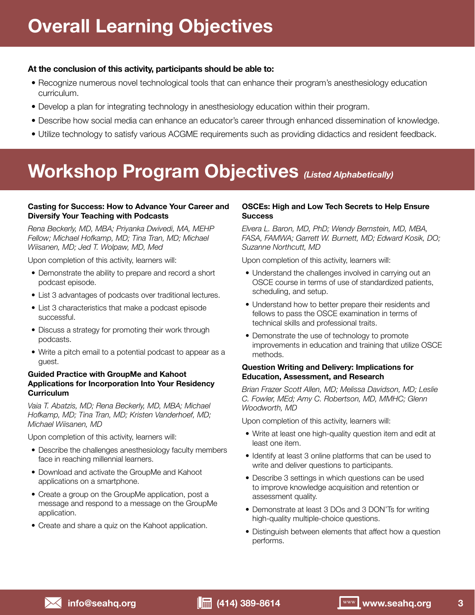# **At the conclusion of this activity, participants should be able to:**

- Recognize numerous novel technological tools that can enhance their program's anesthesiology education curriculum.
- Develop a plan for integrating technology in anesthesiology education within their program.
- Describe how social media can enhance an educator's career through enhanced dissemination of knowledge.
- Utilize technology to satisfy various ACGME requirements such as providing didactics and resident feedback.

# **Workshop Program Objectives** *(Listed Alphabetically)*

# **Casting for Success: How to Advance Your Career and Diversify Your Teaching with Podcasts**

*Rena Beckerly, MD, MBA; Priyanka Dwivedi, MA, MEHP Fellow; Michael Hofkamp, MD; Tina Tran, MD; Michael Wiisanen, MD; Jed T. Wolpaw, MD, Med*

Upon completion of this activity, learners will:

- Demonstrate the ability to prepare and record a short podcast episode.
- List 3 advantages of podcasts over traditional lectures.
- List 3 characteristics that make a podcast episode successful.
- Discuss a strategy for promoting their work through podcasts.
- Write a pitch email to a potential podcast to appear as a guest.

## **Guided Practice with GroupMe and Kahoot Applications for Incorporation Into Your Residency Curriculum**

*Vaia T. Abatzis, MD; Rena Beckerly, MD, MBA; Michael Hofkamp, MD; Tina Tran, MD; Kristen Vanderhoef, MD; Michael Wiisanen, MD*

Upon completion of this activity, learners will:

- Describe the challenges anesthesiology faculty members face in reaching millennial learners.
- Download and activate the GroupMe and Kahoot applications on a smartphone.
- Create a group on the GroupMe application, post a message and respond to a message on the GroupMe application.
- Create and share a quiz on the Kahoot application.

# **OSCEs: High and Low Tech Secrets to Help Ensure Success**

*Elvera L. Baron, MD, PhD; Wendy Bernstein, MD, MBA, FASA, FAMWA; Garrett W. Burnett, MD; Edward Kosik, DO; Suzanne Northcutt, MD*

Upon completion of this activity, learners will:

- Understand the challenges involved in carrying out an OSCE course in terms of use of standardized patients, scheduling, and setup.
- Understand how to better prepare their residents and fellows to pass the OSCE examination in terms of technical skills and professional traits.
- Demonstrate the use of technology to promote improvements in education and training that utilize OSCE methods.

# **Question Writing and Delivery: Implications for Education, Assessment, and Research**

*Brian Frazer Scott Allen, MD; Melissa Davidson, MD; Leslie C. Fowler, MEd; Amy C. Robertson, MD, MMHC; Glenn Woodworth, MD*

Upon completion of this activity, learners will:

- Write at least one high-quality question item and edit at least one item.
- Identify at least 3 online platforms that can be used to write and deliver questions to participants.
- Describe 3 settings in which questions can be used to improve knowledge acquisition and retention or assessment quality.
- Demonstrate at least 3 DOs and 3 DON'Ts for writing high-quality multiple-choice questions.
- Distinguish between elements that affect how a question performs.

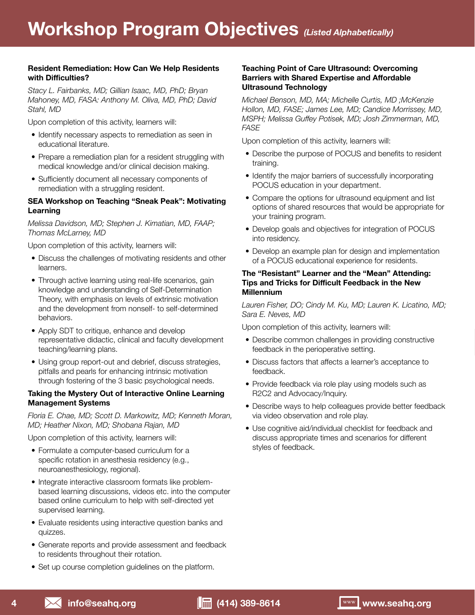## **Resident Remediation: How Can We Help Residents with Difficulties?**

*Stacy L. Fairbanks, MD; Gillian Isaac, MD, PhD; Bryan Mahoney, MD, FASA: Anthony M. Oliva, MD, PhD; David Stahl, MD*

Upon completion of this activity, learners will:

- Identify necessary aspects to remediation as seen in educational literature.
- Prepare a remediation plan for a resident struggling with medical knowledge and/or clinical decision making.
- Sufficiently document all necessary components of remediation with a struggling resident.

# **SEA Workshop on Teaching "Sneak Peak": Motivating Learning**

*Melissa Davidson, MD; Stephen J. Kimatian, MD, FAAP; Thomas McLarney, MD*

Upon completion of this activity, learners will:

- Discuss the challenges of motivating residents and other learners.
- Through active learning using real-life scenarios, gain knowledge and understanding of Self-Determination Theory, with emphasis on levels of extrinsic motivation and the development from nonself- to self-determined behaviors.
- Apply SDT to critique, enhance and develop representative didactic, clinical and faculty development teaching/learning plans.
- Using group report-out and debrief, discuss strategies, pitfalls and pearls for enhancing intrinsic motivation through fostering of the 3 basic psychological needs.

### **Taking the Mystery Out of Interactive Online Learning Management Systems**

*Floria E. Chae, MD; Scott D. Markowitz, MD; Kenneth Moran, MD; Heather Nixon, MD; Shobana Rajan, MD*

Upon completion of this activity, learners will:

- Formulate a computer-based curriculum for a specific rotation in anesthesia residency (e.g., neuroanesthesiology, regional).
- Integrate interactive classroom formats like problembased learning discussions, videos etc. into the computer based online curriculum to help with self-directed yet supervised learning.
- Evaluate residents using interactive question banks and quizzes.
- Generate reports and provide assessment and feedback to residents throughout their rotation.
- Set up course completion guidelines on the platform.

### **Teaching Point of Care Ultrasound: Overcoming Barriers with Shared Expertise and Affordable Ultrasound Technology**

*Michael Benson, MD, MA; Michelle Curtis, MD ;McKenzie Hollon, MD, FASE; James Lee, MD; Candice Morrissey, MD, MSPH; Melissa Guffey Potisek, MD; Josh Zimmerman, MD, FASE*

Upon completion of this activity, learners will:

- Describe the purpose of POCUS and benefits to resident training.
- Identify the major barriers of successfully incorporating POCUS education in your department.
- Compare the options for ultrasound equipment and list options of shared resources that would be appropriate for your training program.
- Develop goals and objectives for integration of POCUS into residency.
- Develop an example plan for design and implementation of a POCUS educational experience for residents.

### **The "Resistant" Learner and the "Mean" Attending: Tips and Tricks for Difficult Feedback in the New Millennium**

*Lauren Fisher, DO; Cindy M. Ku, MD; Lauren K. Licatino, MD; Sara E. Neves, MD*

Upon completion of this activity, learners will:

- Describe common challenges in providing constructive feedback in the perioperative setting.
- Discuss factors that affects a learner's acceptance to feedback.
- Provide feedback via role play using models such as R2C2 and Advocacy/Inquiry.
- Describe ways to help colleagues provide better feedback via video observation and role play.
- Use cognitive aid/individual checklist for feedback and discuss appropriate times and scenarios for different styles of feedback.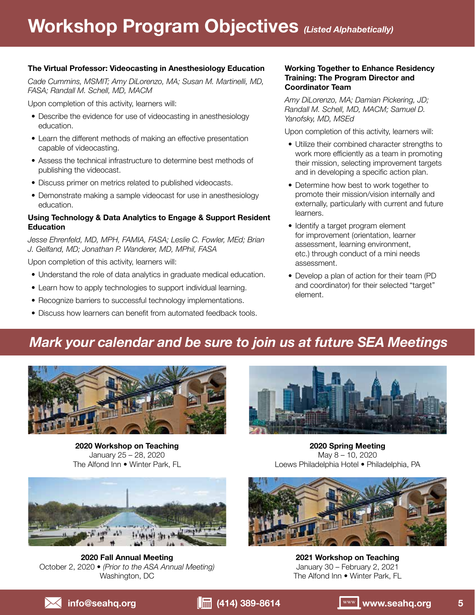# **Workshop Program Objectives** *(Listed Alphabetically)*

## **The Virtual Professor: Videocasting in Anesthesiology Education**

*Cade Cummins, MSMIT; Amy DiLorenzo, MA; Susan M. Martinelli, MD, FASA; Randall M. Schell, MD, MACM*

Upon completion of this activity, learners will:

- Describe the evidence for use of videocasting in anesthesiology education.
- Learn the different methods of making an effective presentation capable of videocasting.
- Assess the technical infrastructure to determine best methods of publishing the videocast.
- Discuss primer on metrics related to published videocasts.
- Demonstrate making a sample videocast for use in anesthesiology education.

## **Using Technology & Data Analytics to Engage & Support Resident Education**

*Jesse Ehrenfeld, MD, MPH, FAMIA, FASA; Leslie C. Fowler, MEd; Brian J. Gelfand, MD; Jonathan P. Wanderer, MD, MPhil, FASA*

Upon completion of this activity, learners will:

- Understand the role of data analytics in graduate medical education.
- Learn how to apply technologies to support individual learning.
- Recognize barriers to successful technology implementations.
- Discuss how learners can benefit from automated feedback tools.

### **Working Together to Enhance Residency Training: The Program Director and Coordinator Team**

*Amy DiLorenzo, MA; Damian Pickering, JD; Randall M. Schell, MD, MACM; Samuel D. Yanofsky, MD, MSEd*

Upon completion of this activity, learners will:

- Utilize their combined character strengths to work more efficiently as a team in promoting their mission, selecting improvement targets and in developing a specific action plan.
- Determine how best to work together to promote their mission/vision internally and externally, particularly with current and future learners.
- Identify a target program element for improvement (orientation, learner assessment, learning environment, etc.) through conduct of a mini needs assessment.
- Develop a plan of action for their team (PD and coordinator) for their selected "target" element.

# *Mark your calendar and be sure to join us at future SEA Meetings*



**2020 Workshop on Teaching** January 25 – 28, 2020 The Alfond Inn • Winter Park, FL



**2020 Spring Meeting** May 8 – 10, 2020 Loews Philadelphia Hotel • Philadelphia, PA



**2020 Fall Annual Meeting** October 2, 2020 • *(Prior to the ASA Annual Meeting)* Washington, DC



**2021 Workshop on Teaching** January 30 – February 2, 2021 The Alfond Inn • Winter Park, FL

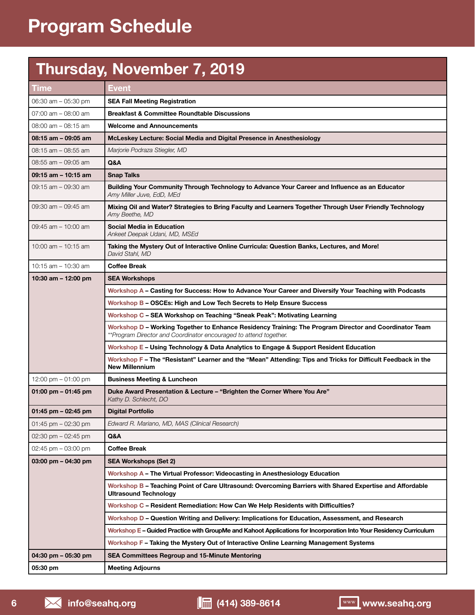# **Program Schedule**

# **Thursday, November 7, 2019**

| Time                   | <b>Event</b>                                                                                                                                                                |  |  |
|------------------------|-----------------------------------------------------------------------------------------------------------------------------------------------------------------------------|--|--|
| 06:30 am - 05:30 pm    | <b>SEA Fall Meeting Registration</b>                                                                                                                                        |  |  |
| 07:00 am - 08:00 am    | <b>Breakfast &amp; Committee Roundtable Discussions</b>                                                                                                                     |  |  |
| 08:00 am - 08:15 am    | <b>Welcome and Announcements</b>                                                                                                                                            |  |  |
| 08:15 am - 09:05 am    | McLeskey Lecture: Social Media and Digital Presence in Anesthesiology                                                                                                       |  |  |
| 08:15 am - 08:55 am    | Marjorie Podraza Stiegler, MD                                                                                                                                               |  |  |
| $08:55$ am $-09:05$ am | Q&A                                                                                                                                                                         |  |  |
| 09:15 am - 10:15 am    | <b>Snap Talks</b>                                                                                                                                                           |  |  |
| 09:15 am - 09:30 am    | Building Your Community Through Technology to Advance Your Career and Influence as an Educator<br>Amy Miller Juve, EdD, MEd                                                 |  |  |
| 09:30 am - 09:45 am    | Mixing Oil and Water? Strategies to Bring Faculty and Learners Together Through User Friendly Technology<br>Amy Beethe, MD                                                  |  |  |
| 09:45 am - 10:00 am    | <b>Social Media in Education</b><br>Ankeet Deepak Udani, MD, MSEd                                                                                                           |  |  |
| 10:00 am $-$ 10:15 am  | Taking the Mystery Out of Interactive Online Curricula: Question Banks, Lectures, and More!<br>David Stahl, MD                                                              |  |  |
| 10:15 $am - 10:30 am$  | <b>Coffee Break</b>                                                                                                                                                         |  |  |
| 10:30 am - 12:00 pm    | <b>SEA Workshops</b>                                                                                                                                                        |  |  |
|                        | Workshop A - Casting for Success: How to Advance Your Career and Diversify Your Teaching with Podcasts                                                                      |  |  |
|                        | Workshop B - OSCEs: High and Low Tech Secrets to Help Ensure Success                                                                                                        |  |  |
|                        | Workshop C - SEA Workshop on Teaching "Sneak Peak": Motivating Learning                                                                                                     |  |  |
|                        | Workshop D - Working Together to Enhance Residency Training: The Program Director and Coordinator Team<br>**Program Director and Coordinator encouraged to attend together. |  |  |
|                        | Workshop E - Using Technology & Data Analytics to Engage & Support Resident Education                                                                                       |  |  |
|                        | Workshop F - The "Resistant" Learner and the "Mean" Attending: Tips and Tricks for Difficult Feedback in the<br><b>New Millennium</b>                                       |  |  |
| 12:00 pm $-01:00$ pm   | <b>Business Meeting &amp; Luncheon</b>                                                                                                                                      |  |  |
| 01:00 pm $-$ 01:45 pm  | Duke Award Presentation & Lecture – "Brighten the Corner Where You Are"<br>Kathy D. Schlecht, DO                                                                            |  |  |
| 01:45 pm $-$ 02:45 pm  | <b>Digital Portfolio</b>                                                                                                                                                    |  |  |
| 01:45 pm - 02:30 pm    | Edward R. Mariano, MD, MAS (Clinical Research)                                                                                                                              |  |  |
| 02:30 pm $-$ 02:45 pm  | Q&A                                                                                                                                                                         |  |  |
| 02:45 pm $-$ 03:00 pm  | <b>Coffee Break</b>                                                                                                                                                         |  |  |
| 03:00 pm $-$ 04:30 pm  | <b>SEA Workshops (Set 2)</b>                                                                                                                                                |  |  |
|                        | Workshop A - The Virtual Professor: Videocasting in Anesthesiology Education                                                                                                |  |  |
|                        | Workshop B - Teaching Point of Care Ultrasound: Overcoming Barriers with Shared Expertise and Affordable<br>Ultrasound Technology                                           |  |  |
|                        | Workshop C - Resident Remediation: How Can We Help Residents with Difficulties?                                                                                             |  |  |
|                        | Workshop D - Question Writing and Delivery: Implications for Education, Assessment, and Research                                                                            |  |  |
|                        | Workshop E – Guided Practice with GroupMe and Kahoot Applications for Incorporation Into Your Residency Curriculum                                                          |  |  |
|                        | Workshop F – Taking the Mystery Out of Interactive Online Learning Management Systems                                                                                       |  |  |
| 04:30 pm - 05:30 pm    | <b>SEA Committees Regroup and 15-Minute Mentoring</b>                                                                                                                       |  |  |
| 05:30 pm               | <b>Meeting Adjourns</b>                                                                                                                                                     |  |  |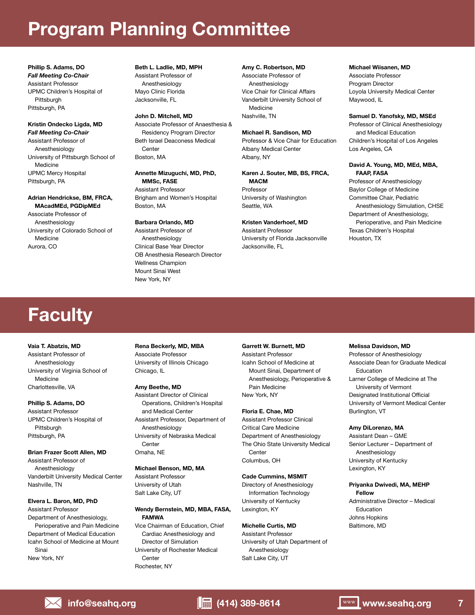# **Program Planning Committee**

**Phillip S. Adams, DO** *Fall Meeting Co-Chair* Assistant Professor UPMC Children's Hospital of Pittsburgh Pittsburgh, PA

**Kristin Ondecko Ligda, MD** *Fall Meeting Co-Chair* Assistant Professor of Anesthesiology University of Pittsburgh School of Medicine UPMC Mercy Hospital Pittsburgh, PA

#### **Adrian Hendrickse, BM, FRCA, MAcadMEd, PGDipMEd**

Associate Professor of Anesthesiology University of Colorado School of Medicine Aurora, CO

#### **Beth L. Ladlie, MD, MPH** Assistant Professor of Anesthesiology Mayo Clinic Florida Jacksonville, FL

**John D. Mitchell, MD** Associate Professor of Anaesthesia & Residency Program Director Beth Israel Deaconess Medical Center Boston, MA

#### **Annette Mizuguchi, MD, PhD, MMSc, FASE**

Assistant Professor Brigham and Women's Hospital Boston, MA

#### **Barbara Orlando, MD**

Assistant Professor of Anesthesiology Clinical Base Year Director OB Anesthesia Research Director Wellness Champion Mount Sinai West New York, NY

#### **Amy C. Robertson, MD** Associate Professor of Anesthesiology Vice Chair for Clinical Affairs Vanderbilt University School of Medicine Nashville, TN

#### **Michael R. Sandison, MD**

Professor & Vice Chair for Education Albany Medical Center Albany, NY

**Karen J. Souter, MB, BS, FRCA, MACM** Professor University of Washington Seattle, WA

**Kristen Vanderhoef, MD** Assistant Professor University of Florida Jacksonville Jacksonville, FL

#### **Michael Wiisanen, MD**

Associate Professor Program Director Loyola University Medical Center Maywood, IL

#### **Samuel D. Yanofsky, MD, MSEd**

Professor of Clinical Anesthesiology and Medical Education Children's Hospital of Los Angeles Los Angeles, CA

#### **David A. Young, MD, MEd, MBA, FAAP, FASA**

Professor of Anesthesiology Baylor College of Medicine Committee Chair, Pediatric Anesthesiology Simulation, CHSE Department of Anesthesiology, Perioperative, and Pain Medicine Texas Children's Hospital

Houston, TX

# **Faculty**

#### **Vaia T. Abatzis, MD**

Assistant Professor of Anesthesiology University of Virginia School of Medicine Charlottesville, VA

# **Phillip S. Adams, DO**

Assistant Professor UPMC Children's Hospital of Pittsburgh Pittsburgh, PA

#### **Brian Frazer Scott Allen, MD**

Assistant Professor of Anesthesiology Vanderbilt University Medical Center Nashville, TN

#### **Elvera L. Baron, MD, PhD** Assistant Professor

Department of Anesthesiology, Perioperative and Pain Medicine Department of Medical Education Icahn School of Medicine at Mount Sinai New York, NY

**Rena Beckerly, MD, MBA** Associate Professor University of Illinois Chicago Chicago, IL

#### **Amy Beethe, MD**

Assistant Director of Clinical Operations, Children's Hospital and Medical Center Assistant Professor, Department of Anesthesiology University of Nebraska Medical **Center** Omaha, NE

#### **Michael Benson, MD, MA**

Assistant Professor University of Utah Salt Lake City, UT

#### **Wendy Bernstein, MD, MBA, FASA, FAMWA**

Vice Chairman of Education, Chief Cardiac Anesthesiology and Director of Simulation University of Rochester Medical **Center** Rochester, NY

#### **Garrett W. Burnett, MD** Assistant Professor Icahn School of Medicine at Mount Sinai, Department of Anesthesiology, Perioperative & Pain Medicine New York, NY

#### **Floria E. Chae, MD**

Assistant Professor Clinical Critical Care Medicine Department of Anesthesiology The Ohio State University Medical **Center** Columbus, OH

#### **Cade Cummins, MSMIT**

Directory of Anesthesiology Information Technology University of Kentucky Lexington, KY

## **Michelle Curtis, MD**

Assistant Professor University of Utah Department of Anesthesiology Salt Lake City, UT

#### **Melissa Davidson, MD**

Professor of Anesthesiology Associate Dean for Graduate Medical Education Larner College of Medicine at The University of Vermont Designated Institutional Official University of Vermont Medical Center Burlington, VT

#### **Amy DiLorenzo, MA**

Assistant Dean – GME Senior Lecturer – Department of Anesthesiology University of Kentucky Lexington, KY

#### **Priyanka Dwivedi, MA, MEHP Fellow**

Administrative Director – Medical Education Johns Hopkins Baltimore, MD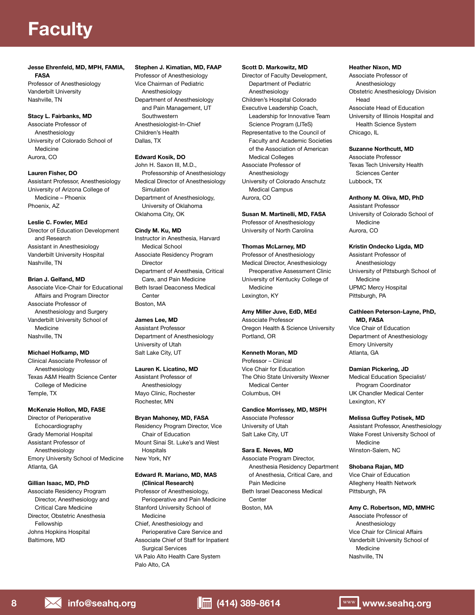# **Faculty**

#### **Jesse Ehrenfeld, MD, MPH, FAMIA, FASA**

Professor of Anesthesiology Vanderbilt University Nashville, TN

#### **Stacy L. Fairbanks, MD**

Associate Professor of Anesthesiology University of Colorado School of Medicine Aurora, CO

#### **Lauren Fisher, DO**

Assistant Professor, Anesthesiology University of Arizona College of Medicine – Phoenix Phoenix, AZ

#### **Leslie C. Fowler, MEd**

Director of Education Development and Research Assistant in Anesthesiology Vanderbilt University Hospital Nashville, TN

#### **Brian J. Gelfand, MD**

Associate Vice-Chair for Educational Affairs and Program Director Associate Professor of Anesthesiology and Surgery Vanderbilt University School of Medicine Nashville, TN

#### **Michael Hofkamp, MD**

Clinical Associate Professor of Anesthesiology Texas A&M Health Science Center College of Medicine Temple, TX

#### **McKenzie Hollon, MD, FASE**

Director of Perioperative Echocardiography Grady Memorial Hospital Assistant Professor of Anesthesiology Emory University School of Medicine Atlanta, GA

#### **Gillian Isaac, MD, PhD**

Associate Residency Program Director, Anesthesiology and Critical Care Medicine Director, Obstetric Anesthesia Fellowship Johns Hopkins Hospital Baltimore, MD

#### **Stephen J. Kimatian, MD, FAAP**

Professor of Anesthesiology Vice Chairman of Pediatric Anesthesiology Department of Anesthesiology and Pain Management, UT **Southwestern** Anesthesiologist-In-Chief Children's Health Dallas, TX

#### **Edward Kosik, DO**

John H. Saxon III, M.D., Professorship of Anesthesiology Medical Director of Anesthesiology **Simulation** Department of Anesthesiology, University of Oklahoma Oklahoma City, OK

#### **Cindy M. Ku, MD**

Instructor in Anesthesia, Harvard Medical School Associate Residency Program **Director** Department of Anesthesia, Critical Care, and Pain Medicine Beth Israel Deaconess Medical **Center** Boston, MA

#### **James Lee, MD**

Assistant Professor Department of Anesthesiology University of Utah Salt Lake City, UT

### **Lauren K. Licatino, MD**

Assistant Professor of Anesthesiology Mayo Clinic, Rochester Rochester, MN

#### **Bryan Mahoney, MD, FASA**

Residency Program Director, Vice Chair of Education Mount Sinai St. Luke's and West **Hospitals** New York, NY

#### **Edward R. Mariano, MD, MAS (Clinical Research)**

Professor of Anesthesiology, Perioperative and Pain Medicine Stanford University School of Medicine

Chief, Anesthesiology and Perioperative Care Service and Associate Chief of Staff for Inpatient Surgical Services VA Palo Alto Health Care System Palo Alto, CA

#### **Scott D. Markowitz, MD**

Director of Faculty Development, Department of Pediatric Anesthesiology Children's Hospital Colorado Executive Leadership Coach, Leadership for Innovative Team Science Program (LITeS) Representative to the Council of Faculty and Academic Societies of the Association of American Medical Colleges Associate Professor of Anesthesiology University of Colorado Anschutz Medical Campus Aurora, CO

### **Susan M. Martinelli, MD, FASA**

Professor of Anesthesiology University of North Carolina

#### **Thomas McLarney, MD**

Professor of Anesthesiology Medical Director, Anesthesiology Preoperative Assessment Clinic University of Kentucky College of Medicine Lexington, KY

#### **Amy Miller Juve, EdD, MEd**

Associate Professor Oregon Health & Science University Portland, OR

#### **Kenneth Moran, MD**

Professor – Clinical Vice Chair for Education The Ohio State University Wexner Medical Center Columbus, OH

#### **Candice Morrissey, MD, MSPH**

Associate Professor University of Utah Salt Lake City, UT

#### **Sara E. Neves, MD**

Associate Program Director, Anesthesia Residency 
Department of Anesthesia, Critical Care, and Pain Medicine Beth Israel Deaconess Medical Center Boston, MA

#### **Heather Nixon, MD**

Associate Professor of Anesthesiology Obstetric Anesthesiology Division Head Associate Head of Education University of Illinois Hospital and Health Science System Chicago, IL

#### **Suzanne Northcutt, MD**

Associate Professor Texas Tech University Health Sciences Center Lubbock, TX

#### **Anthony M. Oliva, MD, PhD**

Assistant Professor University of Colorado School of Medicine Aurora, CO

#### **Kristin Ondecko Ligda, MD**

Assistant Professor of Anesthesiology University of Pittsburgh School of Medicine UPMC Mercy Hospital Pittsburgh, PA

#### **Cathleen Peterson-Layne, PhD, MD, FASA**

Vice Chair of Education Department of Anesthesiology Emory University Atlanta, GA

#### **Damian Pickering, JD**

Medical Education Specialist/ Program Coordinator UK Chandler Medical Center Lexington, KY

#### **Melissa Guffey Potisek, MD**

Assistant Professor, Anesthesiology Wake Forest University School of Medicine Winston-Salem, NC

#### **Shobana Rajan, MD**

Vice Chair of Education Allegheny Health Network Pittsburgh, PA

#### **Amy C. Robertson, MD, MMHC**

Associate Professor of Anesthesiology Vice Chair for Clinical Affairs Vanderbilt University School of Medicine Nashville, TN

**8 info@seahq.org (414) 389-8614 www.seahq.org**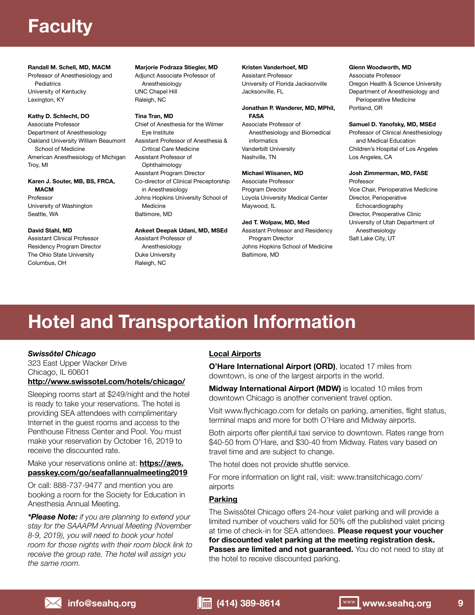# **Faculty**

#### **Randall M. Schell, MD, MACM**

Professor of Anesthesiology and **Pediatrics** University of Kentucky Lexington, KY

#### **Kathy D. Schlecht, DO** Associate Professor Department of Anesthesiology Oakland University William Beaumont School of Medicine American Anesthesiology of Michigan

# **Karen J. Souter, MB, BS, FRCA, MACM** Professor

University of Washington Seattle, WA

#### **David Stahl, MD**

Troy, MI

Assistant Clinical Professor Residency Program Director The Ohio State University Columbus, OH

#### **Marjorie Podraza Stiegler, MD**

Adjunct Associate Professor of Anesthesiology UNC Chapel Hill Raleigh, NC

#### **Tina Tran, MD**

Chief of Anesthesia for the Wilmer Eye Institute Assistant Professor of Anesthesia & Critical Care Medicine Assistant Professor of **Ophthalmology** Assistant Program Director Co-director of Clinical Preceptorship in Anesthesiology Johns Hopkins University School of Medicine Baltimore, MD

#### **Ankeet Deepak Udani, MD, MSEd**

Assistant Professor of Anesthesiology Duke University Raleigh, NC

#### **Kristen Vanderhoef, MD**

Assistant Professor University of Florida Jacksonville Jacksonville, FL

#### **Jonathan P. Wanderer, MD, MPhil, FASA**

Associate Professor of Anesthesiology and Biomedical informatics Vanderbilt University Nashville, TN

#### **Michael Wiisanen, MD**

Associate Professor Program Director Loyola University Medical Center Maywood, IL

#### **Jed T. Wolpaw, MD, Med**

Assistant Professor and Residency Program Director Johns Hopkins School of Medicine Baltimore, MD

#### **Glenn Woodworth, MD**

Associate Professor Oregon Health & Science University Department of Anesthesiology and Perioperative Medicine Portland, OR

#### **Samuel D. Yanofsky, MD, MSEd**

Professor of Clinical Anesthesiology and Medical Education Children's Hospital of Los Angeles Los Angeles, CA

#### **Josh Zimmerman, MD, FASE**

Professor Vice Chair, Perioperative Medicine Director, Perioperative Echocardiography Director, Preoperative Clinic University of Utah Department of Anesthesiology Salt Lake City, UT

# **Hotel and Transportation Information**

### *Swissôtel Chicago*

323 East Upper Wacker Drive Chicago, IL 60601

## **http://www.swissotel.com/hotels/chicago/**

Sleeping rooms start at \$249/night and the hotel is ready to take your reservations. The hotel is providing SEA attendees with complimentary Internet in the guest rooms and access to the Penthouse Fitness Center and Pool. You must make your reservation by October 16, 2019 to receive the discounted rate.

### Make your reservations online at: **https://aws. passkey.com/go/seafallannualmeeting2019**

Or call: 888-737-9477 and mention you are booking a room for the Society for Education in Anesthesia Annual Meeting.

*\*Please Note: if you are planning to extend your stay for the SAAAPM Annual Meeting (November 8-9, 2019), you will need to book your hotel room for those nights with their room block link to receive the group rate. The hotel will assign you the same room.*

### **Local Airports**

**O'Hare International Airport (ORD)**, located 17 miles from downtown, is one of the largest airports in the world.

**Midway International Airport (MDW)** is located 10 miles from downtown Chicago is another convenient travel option.

Visit www.flychicago.com for details on parking, amenities, flight status, terminal maps and more for both O'Hare and Midway airports.

Both airports offer plentiful taxi service to downtown. Rates range from \$40-50 from O'Hare, and \$30-40 from Midway. Rates vary based on travel time and are subject to change.

The hotel does not provide shuttle service.

For more information on light rail, visit: www.transitchicago.com/ airports

#### **Parking**

The Swissôtel Chicago offers 24-hour valet parking and will provide a limited number of vouchers valid for 50% off the published valet pricing at time of check-in for SEA attendees. **Please request your voucher for discounted valet parking at the meeting registration desk. Passes are limited and not guaranteed.** You do not need to stay at the hotel to receive discounted parking.